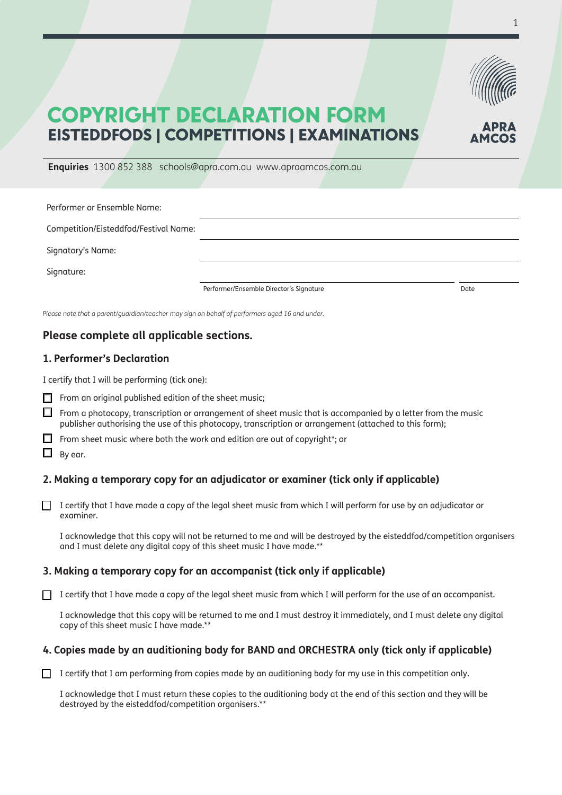

# COPYRIGHT DECLARATION FORM EISTEDDFODS | COMPETITIONS | EXAMINATIONS

**Enquiries** 1300 852 388 schools@apra.com.au www.apraamcos.com.au

| Performer or Ensemble Name:           |                                         |      |
|---------------------------------------|-----------------------------------------|------|
| Competition/Eisteddfod/Festival Name: |                                         |      |
| Signatory's Name:                     |                                         |      |
| Signature:                            |                                         |      |
|                                       | Performer/Ensemble Director's Signature | Date |

*Please note that a parent/guardian/teacher may sign on behalf of performers aged 16 and under.*

# **Please complete all applicable sections.**

## **1. Performer's Declaration**

I certify that I will be performing (tick one):

- $\Box$  From an original published edition of the sheet music;
- $\Box$  From a photocopy, transcription or arrangement of sheet music that is accompanied by a letter from the music publisher authorising the use of this photocopy, transcription or arrangement (attached to this form);
- $\Box$  From sheet music where both the work and edition are out of copyright\*; or
- $\Box$  By ear.

### **2. Making a temporary copy for an adjudicator or examiner (tick only if applicable)**

 $\Box$  I certify that I have made a copy of the legal sheet music from which I will perform for use by an adjudicator or examiner.

I acknowledge that this copy will not be returned to me and will be destroyed by the eisteddfod/competition organisers and I must delete any digital copy of this sheet music I have made.\*\*

#### **3. Making a temporary copy for an accompanist (tick only if applicable)**

 $\Box$  I certify that I have made a copy of the legal sheet music from which I will perform for the use of an accompanist.

I acknowledge that this copy will be returned to me and I must destroy it immediately, and I must delete any digital copy of this sheet music I have made.\*\*

### **4. Copies made by an auditioning body for BAND and ORCHESTRA only (tick only if applicable)**

 $\Box$  I certify that I am performing from copies made by an auditioning body for my use in this competition only.

I acknowledge that I must return these copies to the auditioning body at the end of this section and they will be destroyed by the eisteddfod/competition organisers.\*\*